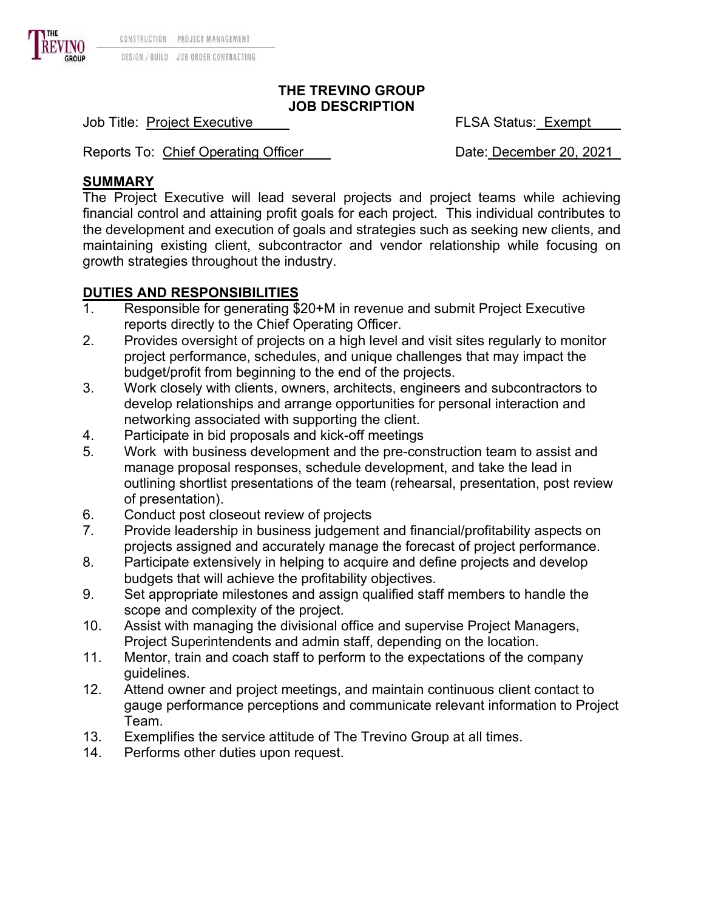## **THE TREVINO GROUP JOB DESCRIPTION**

Job Title: Project Executive **FLSA Status:** Exempt

Reports To: Chief Operating Officer **Date: December 20, 2021** 

## **SUMMARY**

The Project Executive will lead several projects and project teams while achieving financial control and attaining profit goals for each project. This individual contributes to the development and execution of goals and strategies such as seeking new clients, and maintaining existing client, subcontractor and vendor relationship while focusing on growth strategies throughout the industry.

## **DUTIES AND RESPONSIBILITIES**

- 1. Responsible for generating \$20+M in revenue and submit Project Executive reports directly to the Chief Operating Officer.
- 2. Provides oversight of projects on a high level and visit sites regularly to monitor project performance, schedules, and unique challenges that may impact the budget/profit from beginning to the end of the projects.
- 3. Work closely with clients, owners, architects, engineers and subcontractors to develop relationships and arrange opportunities for personal interaction and networking associated with supporting the client.
- 4. Participate in bid proposals and kick-off meetings
- 5. Work with business development and the pre-construction team to assist and manage proposal responses, schedule development, and take the lead in outlining shortlist presentations of the team (rehearsal, presentation, post review of presentation).
- 6. Conduct post closeout review of projects
- 7. Provide leadership in business judgement and financial/profitability aspects on projects assigned and accurately manage the forecast of project performance.
- 8. Participate extensively in helping to acquire and define projects and develop budgets that will achieve the profitability objectives.
- 9. Set appropriate milestones and assign qualified staff members to handle the scope and complexity of the project.
- 10. Assist with managing the divisional office and supervise Project Managers, Project Superintendents and admin staff, depending on the location.
- 11. Mentor, train and coach staff to perform to the expectations of the company guidelines.
- 12. Attend owner and project meetings, and maintain continuous client contact to gauge performance perceptions and communicate relevant information to Project Team.
- 13. Exemplifies the service attitude of The Trevino Group at all times.
- 14. Performs other duties upon request.